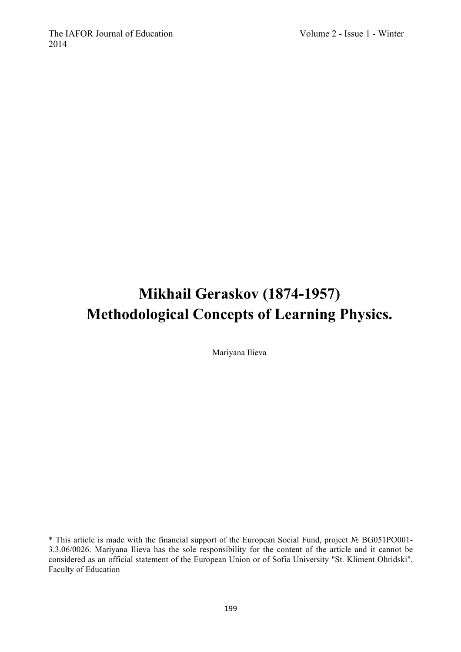# **Mikhail Geraskov (1874-1957) Methodological Concepts of Learning Physics.**

Mariyana Ilieva

\* This article is made with the financial support of the European Social Fund, project № BG051PO001- 3.3.06/0026. Mariyana Ilieva has the sole responsibility for the content of the article and it cannot be considered as an official statement of the European Union or of Sofia University "St. Kliment Ohridski", Faculty of Education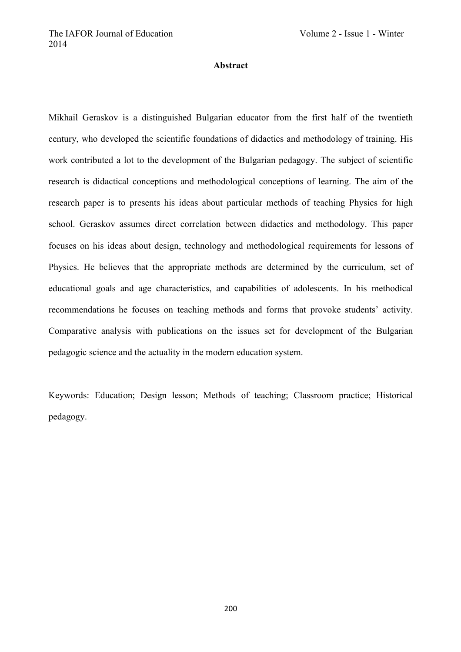## **Abstract**

Mikhail Geraskov is a distinguished Bulgarian educator from the first half of the twentieth century, who developed the scientific foundations of didactics and methodology of training. His work contributed a lot to the development of the Bulgarian pedagogy. The subject of scientific research is didactical conceptions and methodological conceptions of learning. The aim of the research paper is to presents his ideas about particular methods of teaching Physics for high school. Geraskov assumes direct correlation between didactics and methodology. This paper focuses on his ideas about design, technology and methodological requirements for lessons of Physics. He believes that the appropriate methods are determined by the curriculum, set of educational goals and age characteristics, and capabilities of adolescents. In his methodical recommendations he focuses on teaching methods and forms that provoke students' activity. Comparative analysis with publications on the issues set for development of the Bulgarian pedagogic science and the actuality in the modern education system.

Keywords: Education; Design lesson; Methods of teaching; Classroom practice; Historical pedagogy.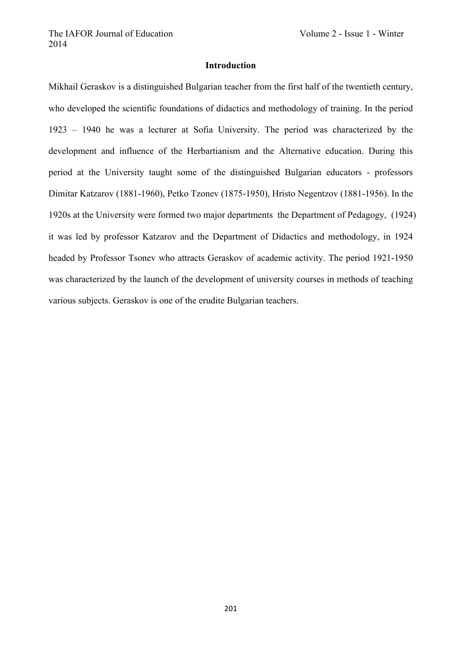## **Introduction**

Mikhail Geraskov is a distinguished Bulgarian teacher from the first half of the twentieth century, who developed the scientific foundations of didactics and methodology of training. In the period 1923 – 1940 he was a lecturer at Sofia University. The period was characterized by the development and influence of the Herbartianism and the Alternative education. During this period at the University taught some of the distinguished Bulgarian educators - professors Dimitar Katzarov (1881-1960), Petko Tzonev (1875-1950), Hristo Negentzov (1881-1956). In the 1920s at the University were formed two major departments the Department of Pedagogy, (1924) it was led by professor Katzarov and the Department of Didactics and methodology, in 1924 headed by Professor Tsonev who attracts Geraskov of academic activity. The period 1921-1950 was characterized by the launch of the development of university courses in methods of teaching various subjects. Geraskov is one of the erudite Bulgarian teachers.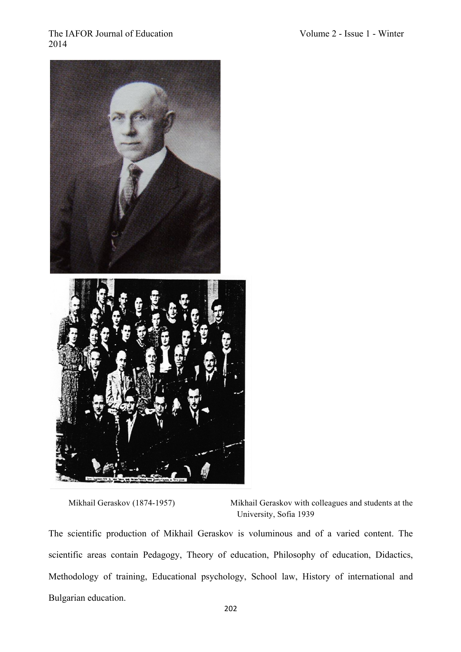

Mikhail Geraskov (1874-1957) Mikhail Geraskov with colleagues and students at the University, Sofia 1939

The scientific production of Mikhail Geraskov is voluminous and of a varied content. The scientific areas contain Pedagogy, Theory of education, Philosophy of education, Didactics, Methodology of training, Educational psychology, School law, History of international and Bulgarian education.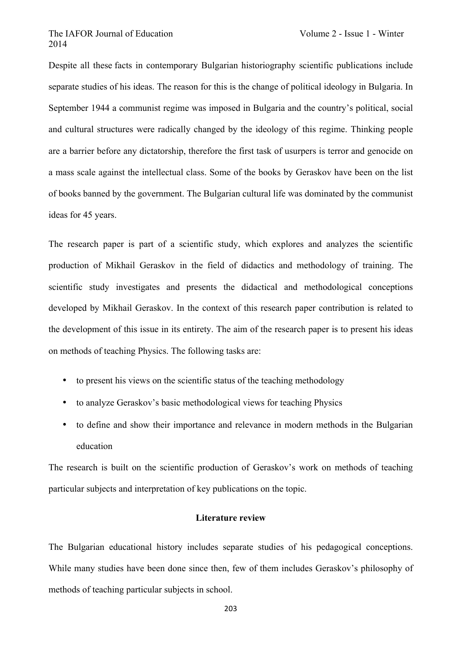Despite all these facts in contemporary Bulgarian historiography scientific publications include separate studies of his ideas. The reason for this is the change of political ideology in Bulgaria. In September 1944 a communist regime was imposed in Bulgaria and the country's political, social and cultural structures were radically changed by the ideology of this regime. Thinking people are a barrier before any dictatorship, therefore the first task of usurpers is terror and genocide on a mass scale against the intellectual class. Some of the books by Geraskov have been on the list of books banned by the government. The Bulgarian cultural life was dominated by the communist ideas for 45 years.

The research paper is part of a scientific study, which explores and analyzes the scientific production of Mikhail Geraskov in the field of didactics and methodology of training. The scientific study investigates and presents the didactical and methodological conceptions developed by Mikhail Geraskov. In the context of this research paper contribution is related to the development of this issue in its entirety. The aim of the research paper is to present his ideas on methods of teaching Physics. The following tasks are:

- to present his views on the scientific status of the teaching methodology
- to analyze Geraskov's basic methodological views for teaching Physics
- to define and show their importance and relevance in modern methods in the Bulgarian education

The research is built on the scientific production of Geraskov's work on methods of teaching particular subjects and interpretation of key publications on the topic.

#### **Literature review**

The Bulgarian educational history includes separate studies of his pedagogical conceptions. While many studies have been done since then, few of them includes Geraskov's philosophy of methods of teaching particular subjects in school.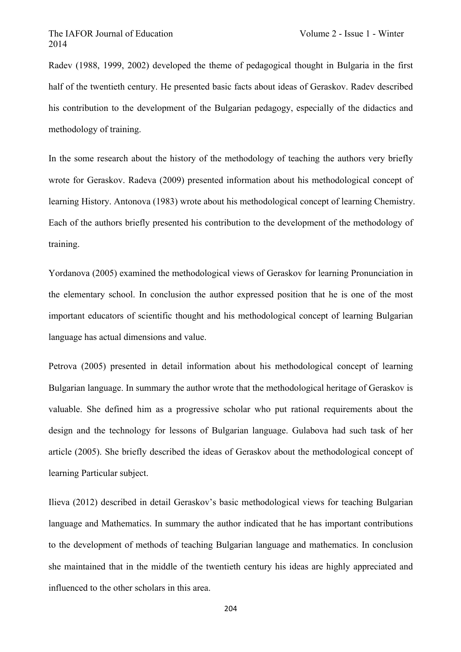Radev (1988, 1999, 2002) developed the theme of pedagogical thought in Bulgaria in the first half of the twentieth century. He presented basic facts about ideas of Geraskov. Radev described his contribution to the development of the Bulgarian pedagogy, especially of the didactics and methodology of training.

In the some research about the history of the methodology of teaching the authors very briefly wrote for Geraskov. Radeva (2009) presented information about his methodological concept of learning History. Antonova (1983) wrote about his methodological concept of learning Chemistry. Each of the authors briefly presented his contribution to the development of the methodology of training.

Yordanova (2005) examined the methodological views of Geraskov for learning Pronunciation in the elementary school. In conclusion the author expressed position that he is one of the most important educators of scientific thought and his methodological concept of learning Bulgarian language has actual dimensions and value.

Petrova (2005) presented in detail information about his methodological concept of learning Bulgarian language. In summary the author wrote that the methodological heritage of Geraskov is valuable. She defined him as a progressive scholar who put rational requirements about the design and the technology for lessons of Bulgarian language. Gulabova had such task of her article (2005). She briefly described the ideas of Geraskov about the methodological concept of learning Particular subject.

Ilieva (2012) described in detail Geraskov's basic methodological views for teaching Bulgarian language and Mathematics. In summary the author indicated that he has important contributions to the development of methods of teaching Bulgarian language and mathematics. In conclusion she maintained that in the middle of the twentieth century his ideas are highly appreciated and influenced to the other scholars in this area.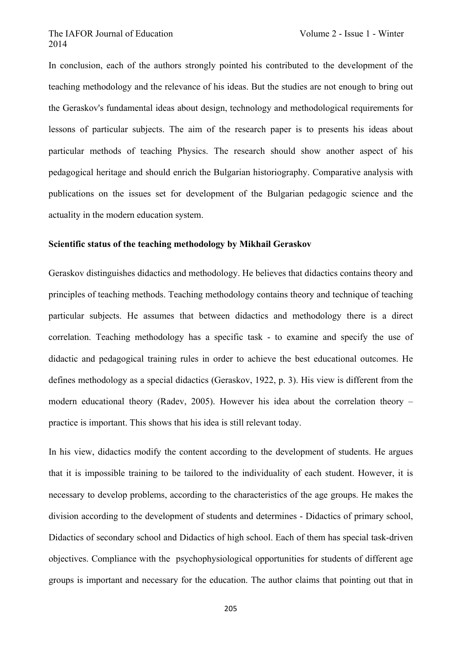In conclusion, each of the authors strongly pointed his contributed to the development of the teaching methodology and the relevance of his ideas. But the studies are not enough to bring out the Geraskov's fundamental ideas about design, technology and methodological requirements for lessons of particular subjects. The aim of the research paper is to presents his ideas about particular methods of teaching Physics. The research should show another aspect of his pedagogical heritage and should enrich the Bulgarian historiography. Comparative analysis with publications on the issues set for development of the Bulgarian pedagogic science and the actuality in the modern education system.

#### **Scientific status of the teaching methodology by Mikhail Geraskov**

Geraskov distinguishes didactics and methodology. He believes that didactics contains theory and principles of teaching methods. Teaching methodology contains theory and technique of teaching particular subjects. He assumes that between didactics and methodology there is a direct correlation. Teaching methodology has a specific task - to examine and specify the use of didactic and pedagogical training rules in order to achieve the best educational outcomes. He defines methodology as a special didactics (Geraskov, 1922, p. 3). His view is different from the modern educational theory (Radev, 2005). However his idea about the correlation theory – practice is important. This shows that his idea is still relevant today.

In his view, didactics modify the content according to the development of students. He argues that it is impossible training to be tailored to the individuality of each student. However, it is necessary to develop problems, according to the characteristics of the age groups. He makes the division according to the development of students and determines - Didactics of primary school, Didactics of secondary school and Didactics of high school. Each of them has special task-driven objectives. Compliance with the psychophysiological opportunities for students of different age groups is important and necessary for the education. The author claims that pointing out that in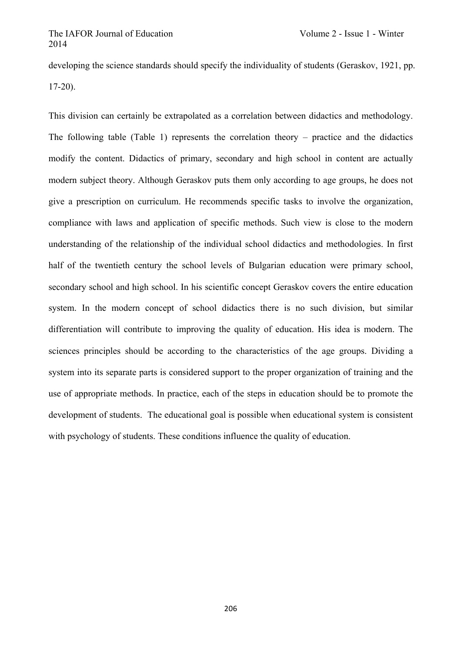developing the science standards should specify the individuality of students (Geraskov, 1921, pp. 17-20).

This division can certainly be extrapolated as a correlation between didactics and methodology. The following table (Table 1) represents the correlation theory – practice and the didactics modify the content. Didactics of primary, secondary and high school in content are actually modern subject theory. Although Geraskov puts them only according to age groups, he does not give a prescription on curriculum. He recommends specific tasks to involve the organization, compliance with laws and application of specific methods. Such view is close to the modern understanding of the relationship of the individual school didactics and methodologies. In first half of the twentieth century the school levels of Bulgarian education were primary school, secondary school and high school. In his scientific concept Geraskov covers the entire education system. In the modern concept of school didactics there is no such division, but similar differentiation will contribute to improving the quality of education. His idea is modern. The sciences principles should be according to the characteristics of the age groups. Dividing a system into its separate parts is considered support to the proper organization of training and the use of appropriate methods. In practice, each of the steps in education should be to promote the development of students. The educational goal is possible when educational system is consistent with psychology of students. These conditions influence the quality of education.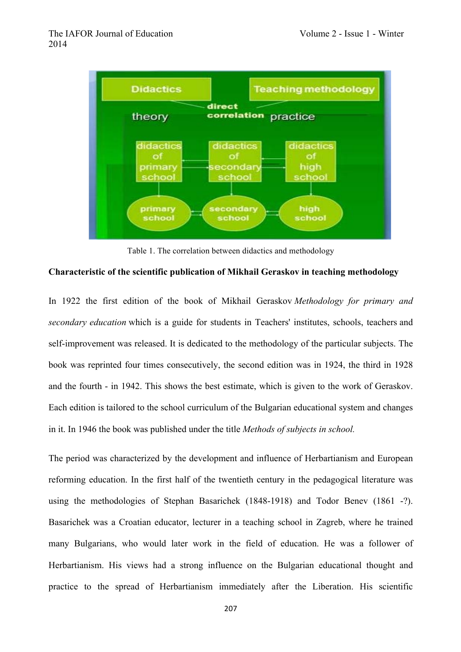

Table 1. The correlation between didactics and methodology

#### **Characteristic of the scientific publication of Mikhail Geraskov in teaching methodology**

In 1922 the first edition of the book of Mikhail Geraskov *Methodology for primary and secondary education* which is a guide for students in Teachers' institutes, schools, teachers and self-improvement was released. It is dedicated to the methodology of the particular subjects. The book was reprinted four times consecutively, the second edition was in 1924, the third in 1928 and the fourth - in 1942. This shows the best estimate, which is given to the work of Geraskov. Each edition is tailored to the school curriculum of the Bulgarian educational system and changes in it. In 1946 the book was published under the title *Methods of subjects in school.*

The period was characterized by the development and influence of Herbartianism and European reforming education. In the first half of the twentieth century in the pedagogical literature was using the methodologies of Stephan Basarichek (1848-1918) and Todor Benev (1861 -?). Basarichek was a Croatian educator, lecturer in a teaching school in Zagreb, where he trained many Bulgarians, who would later work in the field of education. He was a follower of Herbartianism. His views had a strong influence on the Bulgarian educational thought and practice to the spread of Herbartianism immediately after the Liberation. His scientific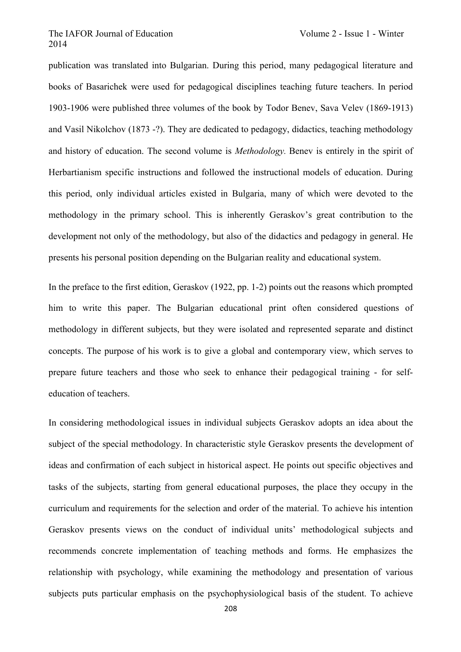publication was translated into Bulgarian. During this period, many pedagogical literature and books of Basarichek were used for pedagogical disciplines teaching future teachers. In period 1903-1906 were published three volumes of the book by Todor Benev, Sava Velev (1869-1913) and Vasil Nikolchov (1873 -?). They are dedicated to pedagogy, didactics, teaching methodology and history of education. The second volume is *Methodology.* Benev is entirely in the spirit of Herbartianism specific instructions and followed the instructional models of education. During this period, only individual articles existed in Bulgaria, many of which were devoted to the methodology in the primary school. This is inherently Geraskov's great contribution to the development not only of the methodology, but also of the didactics and pedagogy in general. He presents his personal position depending on the Bulgarian reality and educational system.

In the preface to the first edition, Geraskov (1922, pp. 1-2) points out the reasons which prompted him to write this paper. The Bulgarian educational print often considered questions of methodology in different subjects, but they were isolated and represented separate and distinct concepts. The purpose of his work is to give a global and contemporary view, which serves to prepare future teachers and those who seek to enhance their pedagogical training - for selfeducation of teachers.

In considering methodological issues in individual subjects Geraskov adopts an idea about the subject of the special methodology. In characteristic style Geraskov presents the development of ideas and confirmation of each subject in historical aspect. He points out specific objectives and tasks of the subjects, starting from general educational purposes, the place they occupy in the curriculum and requirements for the selection and order of the material. To achieve his intention Geraskov presents views on the conduct of individual units' methodological subjects and recommends concrete implementation of teaching methods and forms. He emphasizes the relationship with psychology, while examining the methodology and presentation of various subjects puts particular emphasis on the psychophysiological basis of the student. To achieve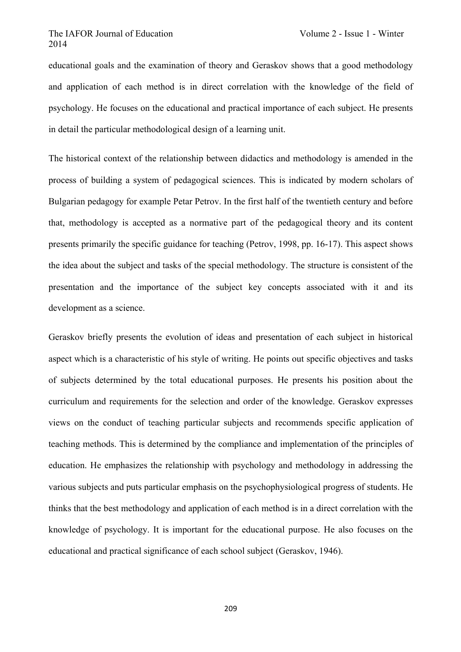educational goals and the examination of theory and Geraskov shows that a good methodology and application of each method is in direct correlation with the knowledge of the field of psychology. He focuses on the educational and practical importance of each subject. He presents in detail the particular methodological design of a learning unit.

The historical context of the relationship between didactics and methodology is amended in the process of building a system of pedagogical sciences. This is indicated by modern scholars of Bulgarian pedagogy for example Petar Petrov. In the first half of the twentieth century and before that, methodology is accepted as a normative part of the pedagogical theory and its content presents primarily the specific guidance for teaching (Petrov, 1998, pp. 16-17). This aspect shows the idea about the subject and tasks of the special methodology. The structure is consistent of the presentation and the importance of the subject key concepts associated with it and its development as a science.

Geraskov briefly presents the evolution of ideas and presentation of each subject in historical aspect which is a characteristic of his style of writing. He points out specific objectives and tasks of subjects determined by the total educational purposes. He presents his position about the curriculum and requirements for the selection and order of the knowledge. Geraskov expresses views on the conduct of teaching particular subjects and recommends specific application of teaching methods. This is determined by the compliance and implementation of the principles of education. He emphasizes the relationship with psychology and methodology in addressing the various subjects and puts particular emphasis on the psychophysiological progress of students. He thinks that the best methodology and application of each method is in a direct correlation with the knowledge of psychology. It is important for the educational purpose. He also focuses on the educational and practical significance of each school subject (Geraskov, 1946).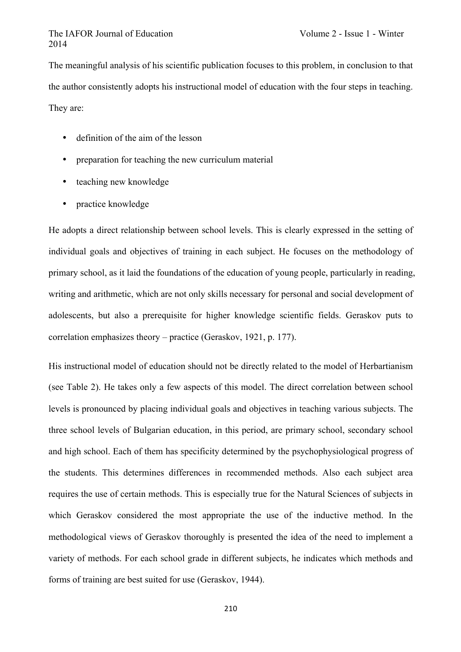The meaningful analysis of his scientific publication focuses to this problem, in conclusion to that the author consistently adopts his instructional model of education with the four steps in teaching. They are:

- definition of the aim of the lesson
- preparation for teaching the new curriculum material
- teaching new knowledge
- practice knowledge

He adopts a direct relationship between school levels. This is clearly expressed in the setting of individual goals and objectives of training in each subject. He focuses on the methodology of primary school, as it laid the foundations of the education of young people, particularly in reading, writing and arithmetic, which are not only skills necessary for personal and social development of adolescents, but also a prerequisite for higher knowledge scientific fields. Geraskov puts to correlation emphasizes theory – practice (Geraskov, 1921, p. 177).

His instructional model of education should not be directly related to the model of Herbartianism (see Table 2). He takes only a few aspects of this model. The direct correlation between school levels is pronounced by placing individual goals and objectives in teaching various subjects. The three school levels of Bulgarian education, in this period, are primary school, secondary school and high school. Each of them has specificity determined by the psychophysiological progress of the students. This determines differences in recommended methods. Also each subject area requires the use of certain methods. This is especially true for the Natural Sciences of subjects in which Geraskov considered the most appropriate the use of the inductive method. In the methodological views of Geraskov thoroughly is presented the idea of the need to implement a variety of methods. For each school grade in different subjects, he indicates which methods and forms of training are best suited for use (Geraskov, 1944).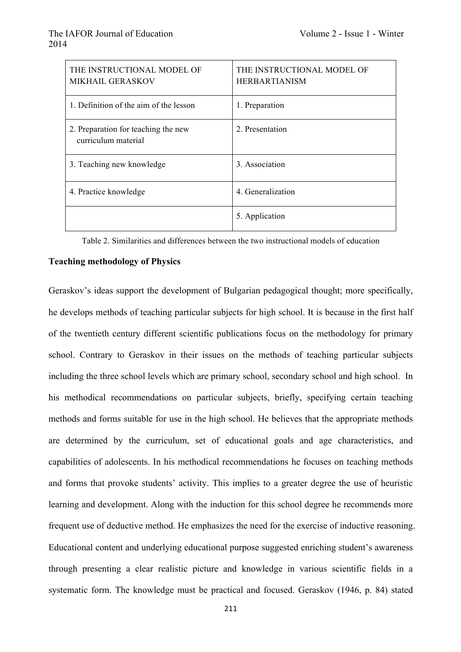| THE INSTRUCTIONAL MODEL OF<br><b>MIKHAIL GERASKOV</b>      | THE INSTRUCTIONAL MODEL OF<br><b>HERBARTIANISM</b> |
|------------------------------------------------------------|----------------------------------------------------|
| 1. Definition of the aim of the lesson                     | 1. Preparation                                     |
| 2. Preparation for teaching the new<br>curriculum material | 2. Presentation                                    |
| 3. Teaching new knowledge                                  | 3 Association                                      |
| 4. Practice knowledge                                      | 4. Generalization                                  |
|                                                            | 5. Application                                     |

Table 2. Similarities and differences between the two instructional models of education

## **Teaching methodology of Physics**

Geraskov's ideas support the development of Bulgarian pedagogical thought; more specifically, he develops methods of teaching particular subjects for high school. It is because in the first half of the twentieth century different scientific publications focus on the methodology for primary school. Contrary to Geraskov in their issues on the methods of teaching particular subjects including the three school levels which are primary school, secondary school and high school. In his methodical recommendations on particular subjects, briefly, specifying certain teaching methods and forms suitable for use in the high school. He believes that the appropriate methods are determined by the curriculum, set of educational goals and age characteristics, and capabilities of adolescents. In his methodical recommendations he focuses on teaching methods and forms that provoke students' activity. This implies to a greater degree the use of heuristic learning and development. Along with the induction for this school degree he recommends more frequent use of deductive method. He emphasizes the need for the exercise of inductive reasoning. Educational content and underlying educational purpose suggested enriching student's awareness through presenting a clear realistic picture and knowledge in various scientific fields in a systematic form. The knowledge must be practical and focused. Geraskov (1946, p. 84) stated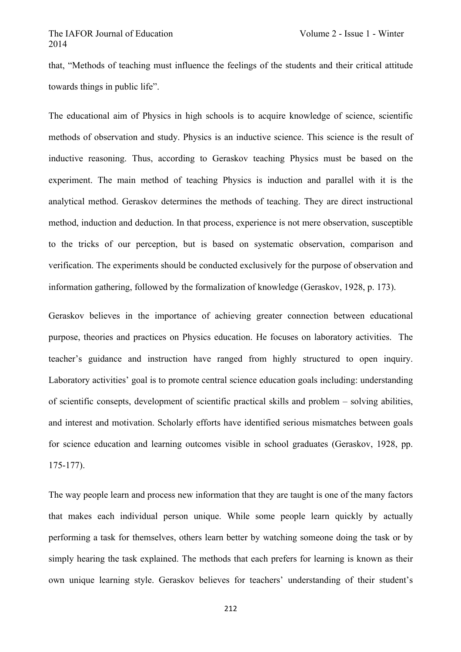that, "Methods of teaching must influence the feelings of the students and their critical attitude towards things in public life".

The educational aim of Physics in high schools is to acquire knowledge of science, scientific methods of observation and study. Physics is an inductive science. This science is the result of inductive reasoning. Thus, according to Geraskov teaching Physics must be based on the experiment. The main method of teaching Physics is induction and parallel with it is the analytical method. Geraskov determines the methods of teaching. They are direct instructional method, induction and deduction. In that process, experience is not mere observation, susceptible to the tricks of our perception, but is based on systematic observation, comparison and verification. The experiments should be conducted exclusively for the purpose of observation and information gathering, followed by the formalization of knowledge (Geraskov, 1928, p. 173).

Geraskov believes in the importance of achieving greater connection between educational purpose, theories and practices on Physics education. He focuses on laboratory activities. The teacher's guidance and instruction have ranged from highly structured to open inquiry. Laboratory activities' goal is to promote central science education goals including: understanding of scientific consepts, development of scientific practical skills and problem – solving abilities, and interest and motivation. Scholarly efforts have identified serious mismatches between goals for science education and learning outcomes visible in school graduates (Geraskov, 1928, pp. 175-177).

The way people learn and process new information that they are taught is one of the many factors that makes each individual person unique. While some people learn quickly by actually performing a task for themselves, others learn better by watching someone doing the task or by simply hearing the task explained. The methods that each prefers for learning is known as their own unique learning style. Geraskov believes for teachers' understanding of their student's

212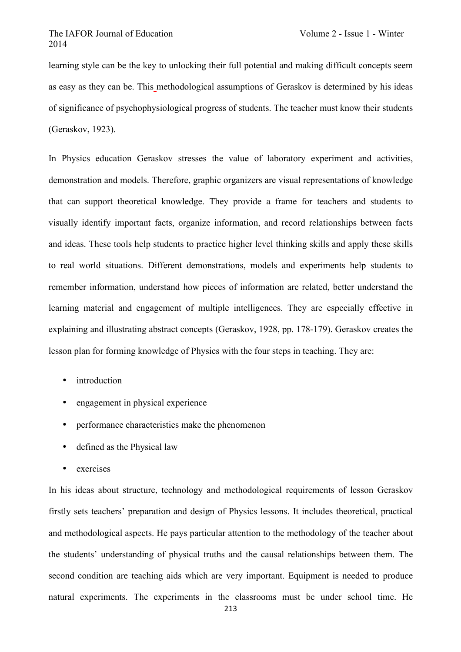learning style can be the key to unlocking their full potential and making difficult concepts seem as easy as they can be. This methodological assumptions of Geraskov is determined by his ideas of significance of psychophysiological progress of students. The teacher must know their students (Geraskov, 1923).

In Physics education Geraskov stresses the value of laboratory experiment and activities, demonstration and models. Therefore, graphic organizers are visual representations of knowledge that can support theoretical knowledge. They provide a frame for teachers and students to visually identify important facts, organize information, and record relationships between facts and ideas. These tools help students to practice higher level thinking skills and apply these skills to real world situations. Different demonstrations, models and experiments help students to remember information, understand how pieces of information are related, better understand the learning material and engagement of multiple intelligences. They are especially effective in explaining and illustrating abstract concepts (Geraskov, 1928, pp. 178-179). Geraskov creates the lesson plan for forming knowledge of Physics with the four steps in teaching. They are:

- introduction
- engagement in physical experience
- performance characteristics make the phenomenon
- defined as the Physical law
- exercises

In his ideas about structure, technology and methodological requirements of lesson Geraskov firstly sets teachers' preparation and design of Physics lessons. It includes theoretical, practical and methodological aspects. He pays particular attention to the methodology of the teacher about the students' understanding of physical truths and the causal relationships between them. The second condition are teaching aids which are very important. Equipment is needed to produce natural experiments. The experiments in the classrooms must be under school time. He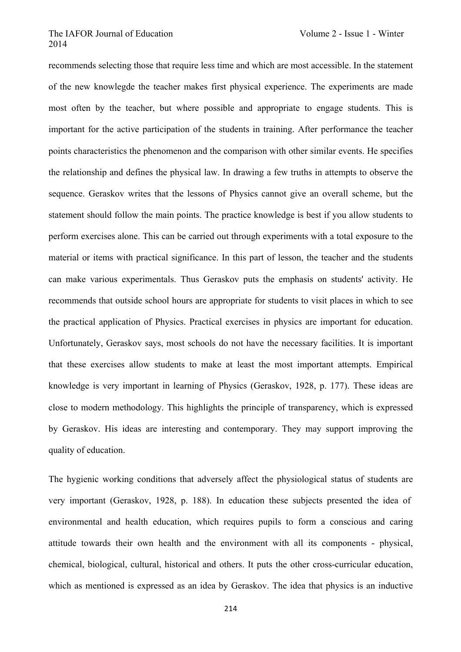recommends selecting those that require less time and which are most accessible. In the statement of the new knowlegde the teacher makes first physical experience. The experiments are made most often by the teacher, but where possible and appropriate to engage students. This is important for the active participation of the students in training. After performance the teacher points characteristics the phenomenon and the comparison with other similar events. He specifies the relationship and defines the physical law. In drawing a few truths in attempts to observe the sequence. Geraskov writes that the lessons of Physics cannot give an overall scheme, but the statement should follow the main points. The practice knowledge is best if you allow students to perform exercises alone. This can be carried out through experiments with a total exposure to the material or items with practical significance. In this part of lesson, the teacher and the students can make various experimentals. Thus Geraskov puts the emphasis on students' activity. He recommends that outside school hours are appropriate for students to visit places in which to see the practical application of Physics. Practical exercises in physics are important for education. Unfortunately, Geraskov says, most schools do not have the necessary facilities. It is important that these exercises allow students to make at least the most important attempts. Empirical knowledge is very important in learning of Physics (Geraskov, 1928, p. 177). These ideas are close to modern methodology. This highlights the principle of transparency, which is expressed by Geraskov. His ideas are interesting and contemporary. They may support improving the quality of education.

The hygienic working conditions that adversely affect the physiological status of students are very important (Geraskov, 1928, p. 188). In education these subjects presented the idea of environmental and health education, which requires pupils to form a conscious and caring attitude towards their own health and the environment with all its components - physical, chemical, biological, cultural, historical and others. It puts the other cross-curricular education, which as mentioned is expressed as an idea by Geraskov. The idea that physics is an inductive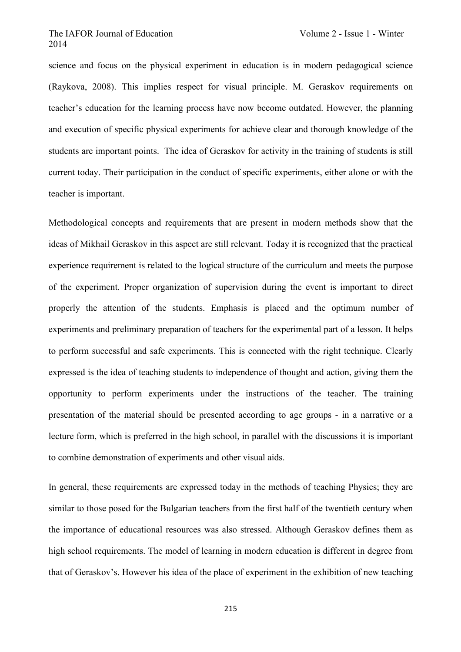science and focus on the physical experiment in education is in modern pedagogical science (Raykova, 2008). This implies respect for visual principle. M. Geraskov requirements on teacher's education for the learning process have now become outdated. However, the planning and execution of specific physical experiments for achieve clear and thorough knowledge of the students are important points. The idea of Geraskov for activity in the training of students is still current today. Their participation in the conduct of specific experiments, either alone or with the teacher is important.

Methodological concepts and requirements that are present in modern methods show that the ideas of Mikhail Geraskov in this aspect are still relevant. Today it is recognized that the practical experience requirement is related to the logical structure of the curriculum and meets the purpose of the experiment. Proper organization of supervision during the event is important to direct properly the attention of the students. Emphasis is placed and the optimum number of experiments and preliminary preparation of teachers for the experimental part of a lesson. It helps to perform successful and safe experiments. This is connected with the right technique. Clearly expressed is the idea of teaching students to independence of thought and action, giving them the opportunity to perform experiments under the instructions of the teacher. The training presentation of the material should be presented according to age groups - in a narrative or a lecture form, which is preferred in the high school, in parallel with the discussions it is important to combine demonstration of experiments and other visual aids.

In general, these requirements are expressed today in the methods of teaching Physics; they are similar to those posed for the Bulgarian teachers from the first half of the twentieth century when the importance of educational resources was also stressed. Although Geraskov defines them as high school requirements. The model of learning in modern education is different in degree from that of Geraskov's. However his idea of the place of experiment in the exhibition of new teaching

215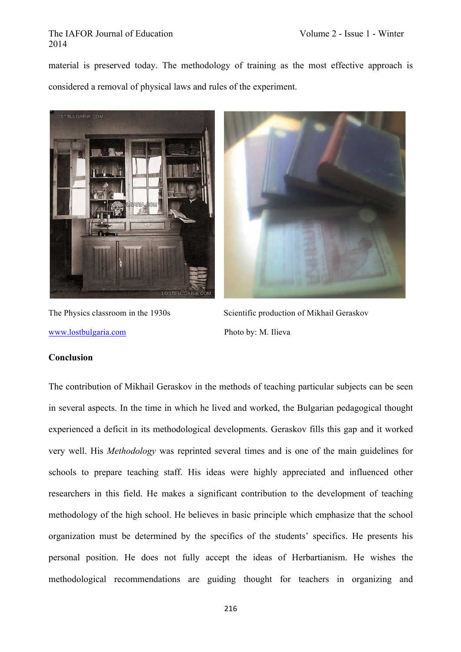material is preserved today. The methodology of training as the most effective approach is considered a removal of physical laws and rules of the experiment.





www.lostbulgaria.com Photo by: M. Ilieva

The Physics classroom in the 1930s Scientific production of Mikhail Geraskov

## **Conclusion**

The contribution of Mikhail Geraskov in the methods of teaching particular subjects can be seen in several aspects. In the time in which he lived and worked, the Bulgarian pedagogical thought experienced a deficit in its methodological developments. Geraskov fills this gap and it worked very well. His *Methodology* was reprinted several times and is one of the main guidelines for schools to prepare teaching staff. His ideas were highly appreciated and influenced other researchers in this field. He makes a significant contribution to the development of teaching methodology of the high school. He believes in basic principle which emphasize that the school organization must be determined by the specifics of the students' specifics. He presents his personal position. He does not fully accept the ideas of Herbartianism. He wishes the methodological recommendations are guiding thought for teachers in organizing and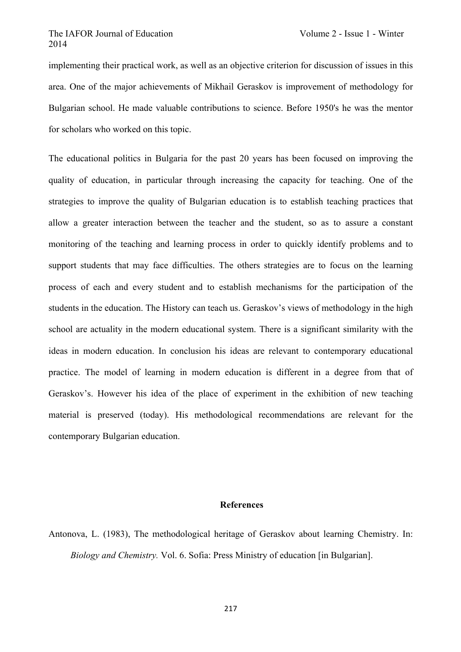implementing their practical work, as well as an objective criterion for discussion of issues in this area. One of the major achievements of Mikhail Geraskov is improvement of methodology for Bulgarian school. He made valuable contributions to science. Before 1950's he was the mentor for scholars who worked on this topic.

The educational politics in Bulgaria for the past 20 years has been focused on improving the quality of education, in particular through increasing the capacity for teaching. One of the strategies to improve the quality of Bulgarian education is to establish teaching practices that allow a greater interaction between the teacher and the student, so as to assure a constant monitoring of the teaching and learning process in order to quickly identify problems and to support students that may face difficulties. The others strategies are to focus on the learning process of each and every student and to establish mechanisms for the participation of the students in the education. The History can teach us. Geraskov's views of methodology in the high school are actuality in the modern educational system. There is a significant similarity with the ideas in modern education. In conclusion his ideas are relevant to contemporary educational practice. The model of learning in modern education is different in a degree from that of Geraskov's. However his idea of the place of experiment in the exhibition of new teaching material is preserved (today). His methodological recommendations are relevant for the contemporary Bulgarian education.

## **References**

Antonova, L. (1983), The methodological heritage of Geraskov about learning Chemistry. In: *Biology and Chemistry.* Vol. 6. Sofia: Press Ministry of education [in Bulgarian].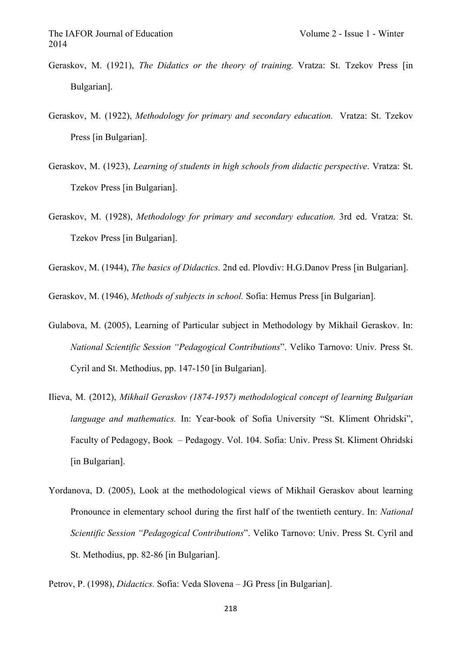- Geraskov, M. (1921), *The Didatics or the theory of training.* Vratza: St. Tzekov Press [in Bulgarian].
- Geraskov, M. (1922), *Methodology for primary and secondary education.* Vratza: St. Tzekov Press [in Bulgarian].
- Geraskov, M. (1923), *Learning of students in high schools from didactic perspective*. Vratza: St. Tzekov Press [in Bulgarian].
- Geraskov, M. (1928), *Methodology for primary and secondary education.* 3rd ed. Vratza: St. Tzekov Press [in Bulgarian].

Geraskov, M. (1944), *The basics of Didactics.* 2nd ed. Plovdiv: H.G.Danov Press [in Bulgarian].

Geraskov, M. (1946), *Methods of subjects in school.* Sofia: Hemus Press [in Bulgarian].

- Gulabova, М. (2005), Learning of Particular subject in Methodology by Mikhail Geraskov. In: *National Scientific Session "Pedagogical Contributions*". Veliko Tarnovo: Univ. Press St. Cyril and St. Methodius, pp. 147-150 [in Bulgarian].
- Ilieva, M. (2012), *Mikhail Geraskov (1874-1957) methodological concept of learning Bulgarian language and mathematics.* In: Year-book of Sofia University "St. Kliment Ohridski", Faculty of Pedagogy, Book – Pedagogy. Vol. 104. Sofia: Univ. Press St. Kliment Ohridski [in Bulgarian].
- Yordanova, D. (2005), Look at the methodological views of Mikhail Geraskov about learning Pronounce in elementary school during the first half of the twentieth century. In: *National Scientific Session "Pedagogical Contributions*". Veliko Tarnovo: Univ. Press St. Cyril and St. Methodius, pp. 82-86 [in Bulgarian].

Petrov, P. (1998), *Didactics.* Sofia: Veda Slovena – JG Press [in Bulgarian].